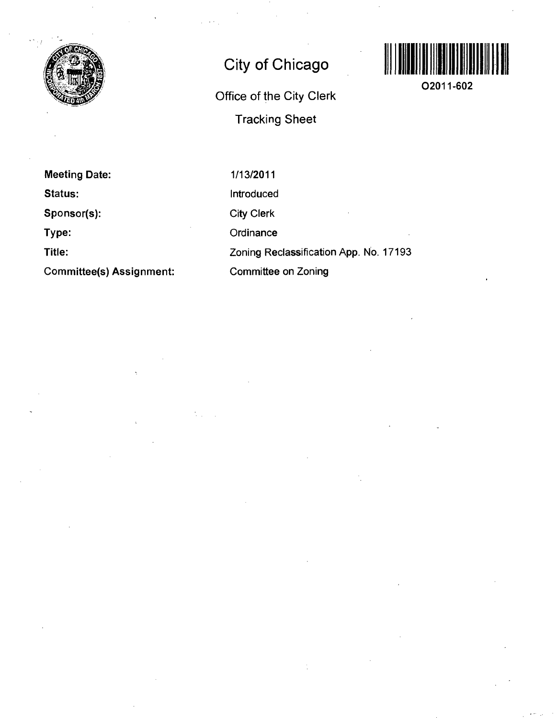

# **City of Chicago**

**Office of the City Clerk Tracking Sheet** 



**02011-602** 

**Meeting Date: Status: Sponsor(s): Type: Title: Committee(s) Assignment:** 

1/13/2011 Introduced City Clerk **Ordinance** Zoning Reclassification App. No. 17193 Committee on Zoning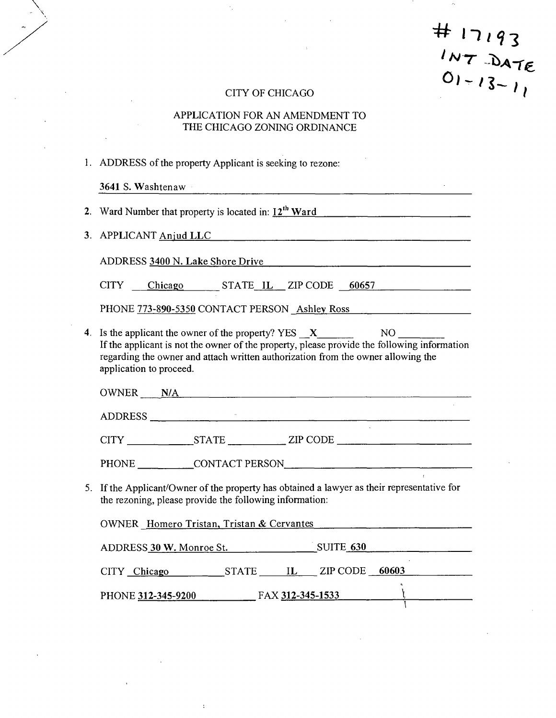$# 17193$ <br>  $1NT$   $DATE$ <br>  $01 - 13 - 11$ 

и.

 $\sim$   $\sim$ 

# CITY OF CHICAGO

 $\overline{\phantom{a}}$ 

# APPLICATION FOR AN AMENDMENT TO THE CHICAGO ZONING ORDINANCE

|                                                                                                                                                                                                                                | 1. ADDRESS of the property Applicant is seeking to rezone: |  |  |  |  |  |
|--------------------------------------------------------------------------------------------------------------------------------------------------------------------------------------------------------------------------------|------------------------------------------------------------|--|--|--|--|--|
|                                                                                                                                                                                                                                | 3641 S. Washtenaw                                          |  |  |  |  |  |
|                                                                                                                                                                                                                                | 2. Ward Number that property is located in: $12^{th}$ Ward |  |  |  |  |  |
|                                                                                                                                                                                                                                | 3. APPLICANT Anjud LLC                                     |  |  |  |  |  |
| ADDRESS 3400 N. Lake Shore Drive Manual Communication of the Shore Drive Manual Communication of the Shore Communication of the Shore Communication of the Shore Communication of the Shore Communication of the Shore Communi |                                                            |  |  |  |  |  |
|                                                                                                                                                                                                                                | CITY Chicago STATE IL ZIP CODE 60657                       |  |  |  |  |  |
|                                                                                                                                                                                                                                | PHONE 773-890-5350 CONTACT PERSON Ashley Ross              |  |  |  |  |  |
| If the applicant is not the owner of the property, please provide the following information<br>regarding the owner and attach written authorization from the owner allowing the<br>application to proceed.                     |                                                            |  |  |  |  |  |
|                                                                                                                                                                                                                                | OWNER N/A                                                  |  |  |  |  |  |
|                                                                                                                                                                                                                                | ADDRESS                                                    |  |  |  |  |  |
|                                                                                                                                                                                                                                |                                                            |  |  |  |  |  |
|                                                                                                                                                                                                                                |                                                            |  |  |  |  |  |
| 5. If the Applicant/Owner of the property has obtained a lawyer as their representative for<br>the rezoning, please provide the following information:                                                                         |                                                            |  |  |  |  |  |
|                                                                                                                                                                                                                                | OWNER Homero Tristan, Tristan & Cervantes                  |  |  |  |  |  |
|                                                                                                                                                                                                                                | ADDRESS 30 W. Monroe St. SUITE 630                         |  |  |  |  |  |
|                                                                                                                                                                                                                                |                                                            |  |  |  |  |  |
|                                                                                                                                                                                                                                | PHONE 312-345-9200 FAX 312-345-1533                        |  |  |  |  |  |

 $\ddot{\cdot}$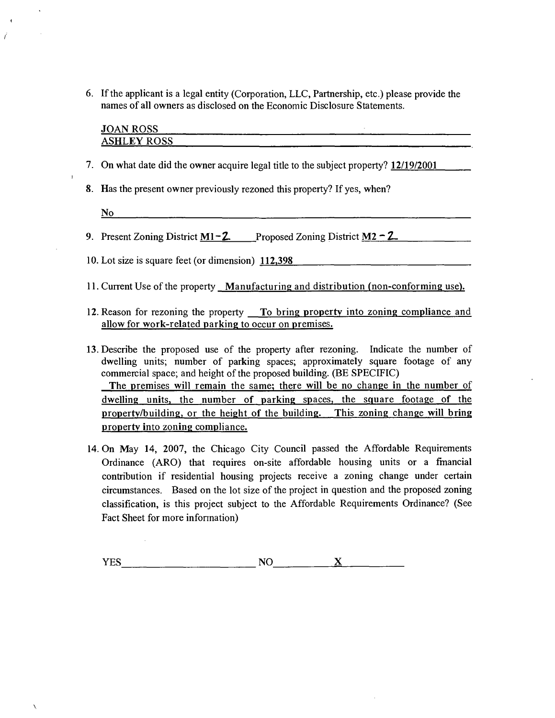6. If the applicant is a legal entity (Corporation, LLC, Partnership, etc.) please provide the names of all owners as disclosed on the Economic Disclosure Statements.

| <b>JOAN ROSS</b>   |  |  |  |  |
|--------------------|--|--|--|--|
| <b>ASHLEY ROSS</b> |  |  |  |  |
|                    |  |  |  |  |

<u> 1988 - Johann John Stein, mars an deutscher Stein († 1988)</u>

- 7. On what date did the owner acquire the owner accuracy property? <u>Interpretent</u>
- $\frac{1}{2}$ . Has the previously rezoned the previously rezoned the property  $\frac{1}{2}$

N<sub>o</sub> No

 $\overline{1}$ 

X

 $\vec{r}$ 

- 9. Present Zoning District  $M1-2$  Proposed Zoning District  $M2-2$
- 10. Lot size is square feet (or dimension) <u>114,000</u>
- 11. Current Use of the property Manufacturing and distribution (non-conforming use).
- 12. Reason for rezoning the property  $\Gamma$ o bring property into zoning compliance and allow for work-related parking to occur on premises.
- 13. Describe the proposed use of the property after rezoning. Indicate the number of dwelling units; number of parking spaces; approximately square footage of any commercial space; and height of the proposed building. (BE SPECIFIC) The premises will remain the same; there will be no change in the number of dwelling units, the number of parking spaces, the square footage of the property/building, or the height of the building. This zoning change will bring property into zoning compliance.
- 14. On May 14, 2007, the Chicago City Council passed the Affordable Requirements Ordinance (ARO) that requires on-site affordable housing units or a fmancial contribution if residential housing projects receive a zoning change under certain circumstances. Based on the lot size of the project in question and the proposed zoning classification, is this project subject to the Affordable Requirements Ordinance? (See Fact Sheet for more information)

 $\underline{\mathbf{X}}$  $YES$  NO  $NOS$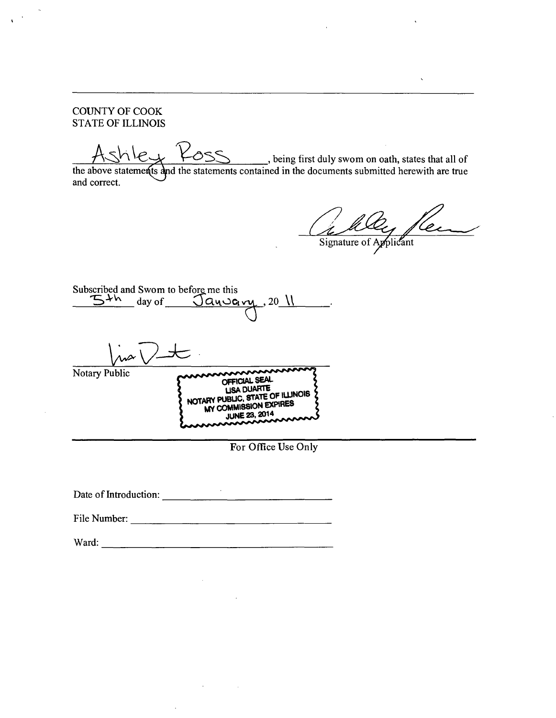COUNTY OF COOK STATE OF ILLINOIS

\_, being first duly swom on oath, states that all of the above statements and the statements contained in the documents submitted herewith are true and correct.

Lelly leur

Subscribed and Swom to before me this  $\overline{5^{+h}}$  day of  $\overline{S^{a_0a_1a_2}}$ , 20  $\overline{\sqrt{a_1^2}}$  $\overline{\phantom{a}}$ Notary Public<br>
OFFICIAL SEAL<br>
LISA DUARTE LISA DUARTE<br>NOTARY PUBLIC, STATE OF ILLINOIS MY COMMISSION EXPIRES

For Office Use Only

Date of Introduction:

File Number:

Ward: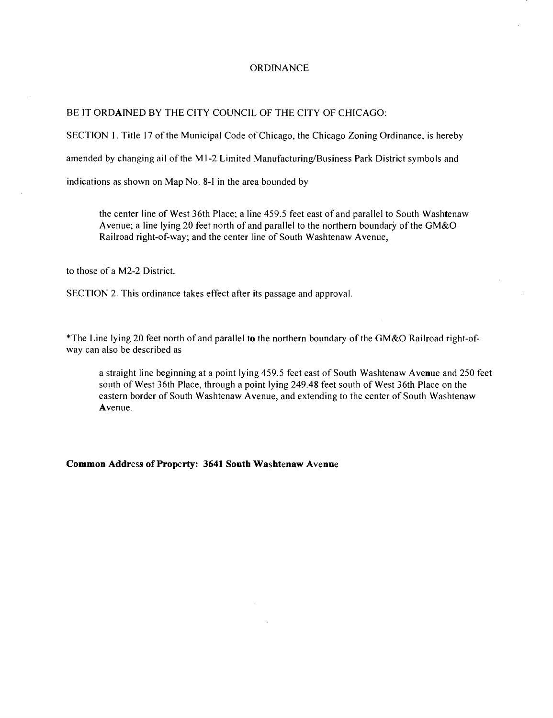#### **ORDINANCE**

#### BE IT ORDAINED BY THE CITY COUNCIL OF THE CITY OF CHICAGO:

SECTION 1. Title 17 of the Municipal Code of Chicago, the Chicago Zoning Ordinance, is hereby

amended by changing ail of the Ml-2 Limited Manufacturing/Business Park District symbols and

indications as shown on Map No. 8-1 in the area bounded by

the center line of West 36th Place; a line 459.5 feet east of and parallel to South Washtenaw Avenue; a line lying 20 feet north of and parallel to the northern boundary of the GM&O Railroad right-of-way; and the center line of South Washtenaw Avenue,

to those of a M2-2 District.

SECTION 2. This ordinance takes effect after its passage and approval.

\*The Line lying 20 feet north of and parallel to the northern boundary of the GM&O Railroad right-ofway can also be described as

a straight line beginning at a point lying 459.5 feet east of South Washtenaw Avenue and 250 feet south of West 36th Place, through a point lying 249.48 feet south of West 36th Place on the eastem border of South Washtenaw Avenue, and extending to the center of South Washtenaw Avenue.

#### **Common Address of Property: 3641 South Washtenaw Avenue**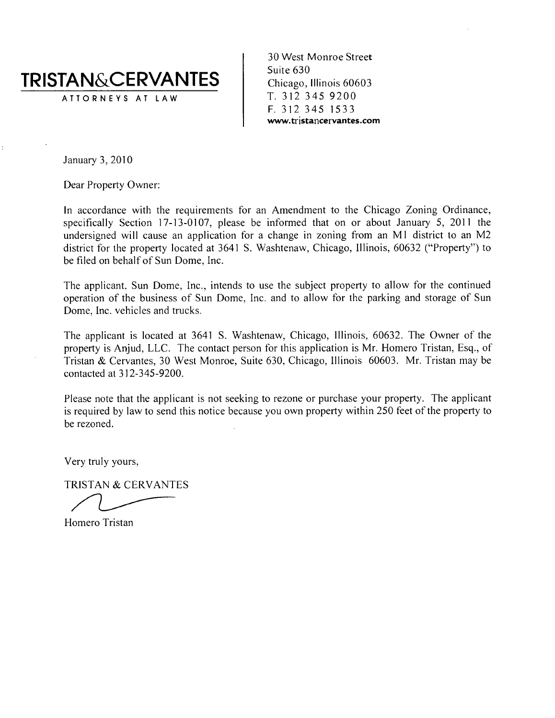# **TRISTAN&CERVANTES**

ATTORNEY S AT LA W

30 West Monroe Street Suite 630 Chicago, Illinois 60603 T. 312 345 9200 **F. 312 345 1533 www.tristancervantes.com** 

January 3, 2010

Dear Property Owner:

In accordance with the requirements for an Amendment to the Chicago Zoning Ordinance, specifically Section  $17-13-0107$ , please be informed that on or about January 5, 2011 the undersigned will cause an application for a change in zoning from an Ml district to an M2 district for the property located at 3641 S. Washtenaw, Chicago, Illinois, 60632 ("Property") to be filed on behalf of Sun Dome, Inc.

The applicant. Sun Dome, Inc., intends to use the subject property to allow for the continued operation of the business of Sun Dome, Inc. and to allow for the parking and storage of Sun Dome, Inc. vehicles and trucks.

The applicant is located at 3641 S. Washtenaw, Chicago, Illinois, 60632. The Owner of the property is Anjud, LLC. The contact person for this application is Mr. Homero Tristan, Esq., of Tristan & Cervantes, 30 West Monroe, Suite 630. Chicago, Illinois 60603. Mr. Tristan may be contacted at 312-345-9200.

Please note that the applicant is not seeking to rezone or purchase your property. The applicant is required by law to send this notice because you own property within 250 feet of the property to be rezoned.

Very truly yours,

TRISTAN & CERVANTES

Homero Tristan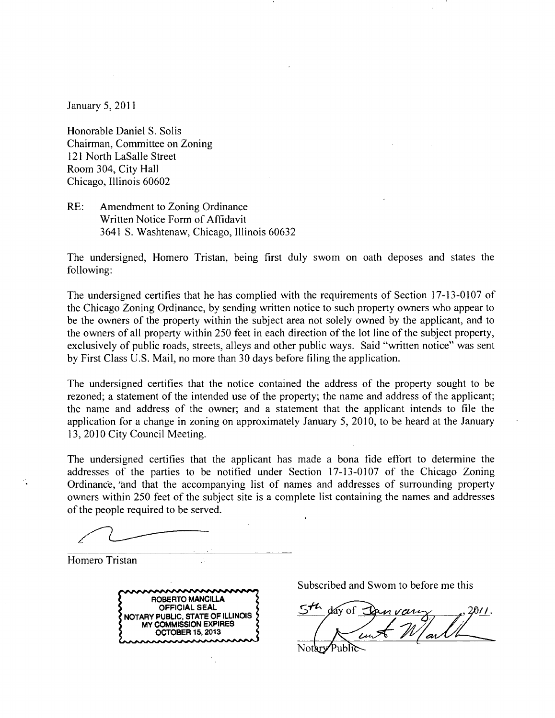January 5, 2011

Honorable Daniel S. Solis Chairman, Committee on Zoning 121 North LaSalle Street Room 304, City Hall Chicago, Illinois 60602

RE: Amendment to Zoning Ordinance Written Notice Form of Affidavit 3641 S. Washtenaw, Chicago, Illinois 60632

The undersigned, Homero Tristan, being first duly swom on oath deposes and states the following:

The undersigned certifies that he has complied with the requirements of Section 17-13-0107 of the Chicago Zoning Ordinance, by sending written notice to such property owners who appear to be the owners of the property within the subject area not solely owned by the applicant, and to the owners of all property within 250 feet in each direction of the lot line of the subject property, exclusively of public roads, streets, alleys and other public ways. Said "written notice" was sent by First Class U.S. Mail, no more than 30 days before filing the application.

The undersigned certifies that the notice contained the address of the property sought to be rezoned; a statement of the intended use of the property; the name and address of the applicant; the name and address of the owner; and a statement that the applicant intends to file the application for a change in zoning on approximately January 5, 2010, to be heard at the January 13, 2010 City Council Meeting.

The undersigned certifies that the applicant has made a bona fide effort to determine the addresses of the parties to be notified under Section 17-13-0107 of the Chicago Zoning Ordinance, 'and that the accompanying list of names and addresses of surrounding property owners within 250 feet of the subject site is a complete list containing the names and addresses of the people required to be served.

Homero Tristan



Subscribed and Swom to before me this

dav of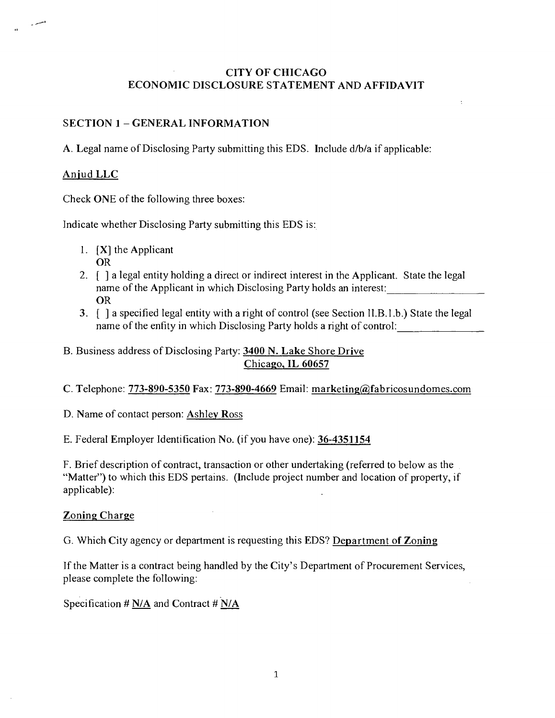# **CITY OF CHICAGO ECONOMIC DISCLOSURE STATEMENT AND AFFIDAVIT**

# **SECTION 1 - GENERAL INFORMATION**

**A. Legal name of Disclosing Party submitting this EDS. Include d/b/a if applicable:** 

# **Anjud LLC**

Check ONE of the following three boxes:

Indicate whether Disclosing Party submitting this EDS is:

- 1. [X] the Applicant OR
- 2. [ ] a legal entity holding a direct or indirect interest in the Applicant. State the legal name of the Applicant in which Disclosing Party holds an interest: OR
- 3. [ ] a specified legal entity with a right of control (see Section ll.B.l .b.) State the legal name of the enfity in which Disclosing Party holds a right of control:
- **B. Business address of Disclosing Party: 3400 N. Lake Shore Drive Chicago, IL 60657**
- **C. Telephone: 773-890-5350 Fax: 773-890-4669 Email: marketing(fl)Tabricosundomes.com**

**D. Name of contact person: Ashley Ross** 

**E. Federal Employer Identification No. (if you have one): 36-4351154** 

F. Brief description of contract, transaction or other undertaking (referred to below as the "Matter") to which this EDS pertains. (Include project number and location of property, if applicable):

# **Zoning Charge**

**G. Which City agency or department is requesting this EDS? Department of Zoning** 

If the Matter is a contract being handled by the City's Department of Procurement Services, please complete the following:

**Specification # N/A and Contract # N/A**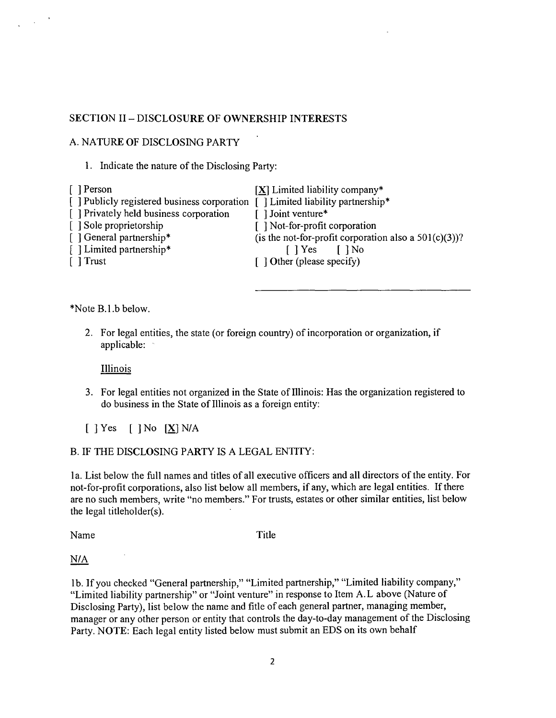### **SECTION II - DISCLOSURE OF OWNERSHIP INTERESTS**

#### A. NATURE OF DISCLOSING PARTY

1. Indicate the nature of the Disclosing Party:

| [ ] Person                                                                 | $[X]$ Limited liability company*                         |
|----------------------------------------------------------------------------|----------------------------------------------------------|
| Publicly registered business corporation [] Limited liability partnership* |                                                          |
| [] Privately held business corporation                                     | [ ] Joint venture*                                       |
| [ ] Sole proprietorship                                                    | [ ] Not-for-profit corporation                           |
| [ ] General partnership*                                                   | (is the not-for-profit corporation also a $501(c)(3)$ )? |
| [ ] Limited partnership*                                                   | I Yes I No                                               |
| [ ] Trust                                                                  | $\int$ Other (please specify)                            |
|                                                                            |                                                          |

\*Note B.l.b below.

2. For legal entities, the state (or foreign country) of incorporation or organization, if applicable:

**Illinois** 

3. For legal entities not organized in the State of Illinois: Has the organization registered to do business in the State of Illinois as a foreign entity:

 $[$  ] Yes  $[$  ] No  $[\underline{X}]$  N/A

#### B. IF THE DISCLOSING PARTY IS A LEGAL ENTITY:

la. List below the full names and titles of all executive officers and all directors of the entity. For not-for-profit corporations, also list below all members, if any, which are legal entities. If there are no such members, write "no members." For trusts, estates or other similar entities, list below the legal titleholder(s).

Name Title

N/A

lb. If you checked "General partnership," "Limited partnership," "Limited liability company," "Limited liability partnership" or "Joint venture" in response to Item A.L above (Nature of Disclosing Party), list below the name and fitle of each general partner, managing member, manager or any other person or entity that controls the day-to-day management of the Disclosing Party. NOTE: Each legal entity listed below must submit an EDS on its own behalf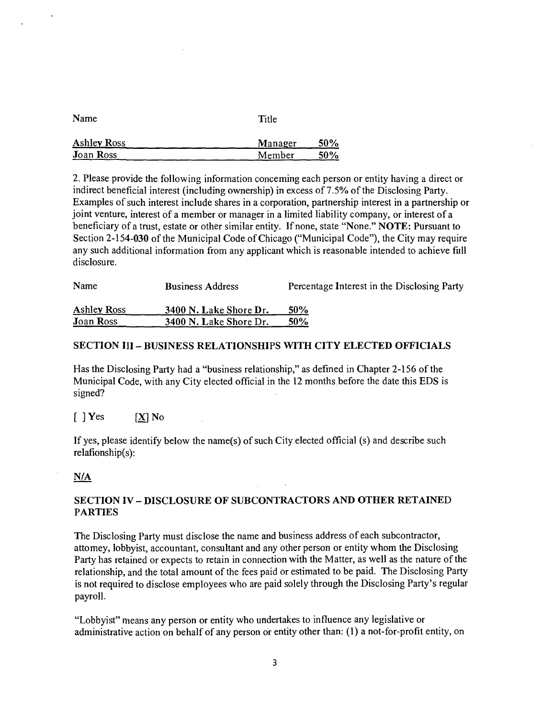| Name               | Title   |     |  |
|--------------------|---------|-----|--|
| <b>Ashley Ross</b> | Manager | 50% |  |
| <b>Joan Ross</b>   | Member  | 50% |  |

2. Please provide the following information conceming each person or entity having a direct or indirect beneficial interest (including ownership) in excess of 7.5% of the Disclosing Party. Examples of such interest include shares in a corporation, partnership interest in a partnership or joint venture, interest of a member or manager in a limited liability company, or interest of a beneficiary of a trust, estate or other similar entity. If none, state "None." NOTE: Pursuant to Section 2-154-030 of the Municipal Code of Chicago ("Municipal Code"), the City may require any such additional information from any applicant which is reasonable intended to achieve fiill disclosure.

| Name               | <b>Business Address</b> | Percentage Interest in the Disclosing Party |  |  |
|--------------------|-------------------------|---------------------------------------------|--|--|
| <b>Ashley Ross</b> | 3400 N. Lake Shore Dr.  | <b>50%</b>                                  |  |  |
| <b>J</b> oan Ross  | 3400 N. Lake Shore Dr.  | $50\%$                                      |  |  |

#### **SECTION III - BUSINESS RELATIONSHIPS WITH CITY ELECTED OFFICIALS**

Has the Disclosing Party had a "business relationship," as defined in Chapter 2-156 of the Municipal Code, with any City elected official in the 12 months before the date this EDS is signed?

#### $[$  ] Yes  $[X]$  No

If yes, please identify below the name(s) of such City elected official (s) and describe such relafionship(s):

#### **N/A**

#### **SECTION IV - DISCLOSURE OF SUBCONTRACTORS AND OTHER RETAINED PARTIES**

The Disclosing Party must disclose the name and business address of each subcontractor, attomey, lobbyist, accountant, consultant and any other person or entity whom the Disclosing Party has retained or expects to retain in connection with the Matter, as well as the nature of the relationship, and the total amount of the fees paid or estimated to be paid. The Disclosing Party is not required to disclose employees who are paid solely through the Disclosing Party's regular payroll.

"Lobbyist" means any person or entity who undertakes to influence any legislative or administrative action on behalf of any person or entity other than; (1) a not-for-profit entity, on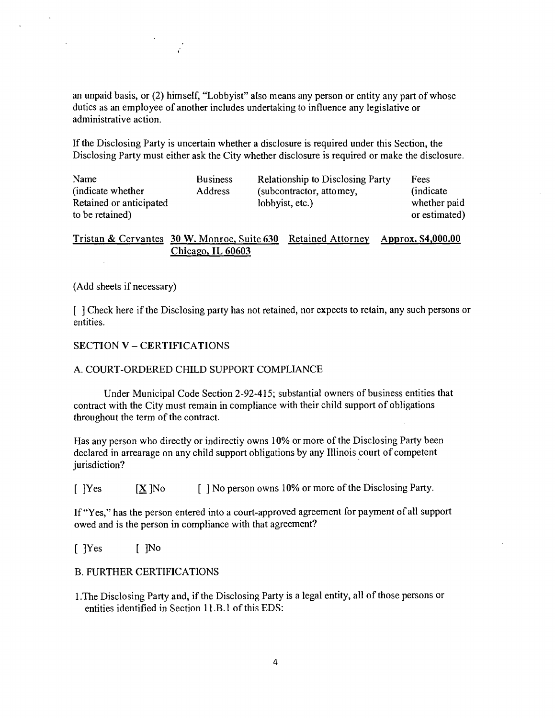an unpaid basis, or (2) himself, "Lobbyist" also means any person or entity any part of whose dufies as an employee of another includes undertaking to influence any legislative or administrative action.

If the Disclosing Party is uncertain whether a disclosure is required under this Section, the Disclosing Party must either ask the City whether disclosure is required or make the disclosure.

| Name                    | <b>Business</b> | Relationship to Disclosing Party | Fees          |
|-------------------------|-----------------|----------------------------------|---------------|
| (indicate whether)      | Address         | (subcontractor, attomey,         | (indicate)    |
| Retained or anticipated |                 | lobbyist, etc.)                  | whether paid  |
| to be retained)         |                 |                                  | or estimated) |

**Tristan & Cervantes 30 W. Monroe, Suite 630 Retained Attorney Approx. \$4,000.00 Chicago, IL 60603** 

#### (Add sheets if necessary)

[ ] Check here if the Disclosing party has not retained, nor expects to retain, any such persons or entities.

#### **SECTION V - CERTIFICATIONS**

#### A. COURT-ORDERED CHILD SUPPORT COMPLIANCE

Under Municipal Code Section 2-92-415; substantial owners of business entities that contract with the City must remain in compliance with their child support of obligations throughout the term of the contract.

Has any person who directly or indirectiy owns 10% or more of the Disclosing Party been declared in arrearage on any child support obligations by any Illinois court of competent jurisdiction?

 $[$  [Yes  $[X]$ No  $[$  ] No person owns 10% or more of the Disclosing Party.

If "Yes," has the person entered into a court-approved agreement for payment of all support owed and is the person in compliance with that agreement?

[ ]Yes [ ]No

#### B. FURTHER CERTIFICATIONS

1 .The Disclosing Party and, if the Disclosing Party is a legal entity, all of those persons or entities identified in Section 11.B.1 of this EDS: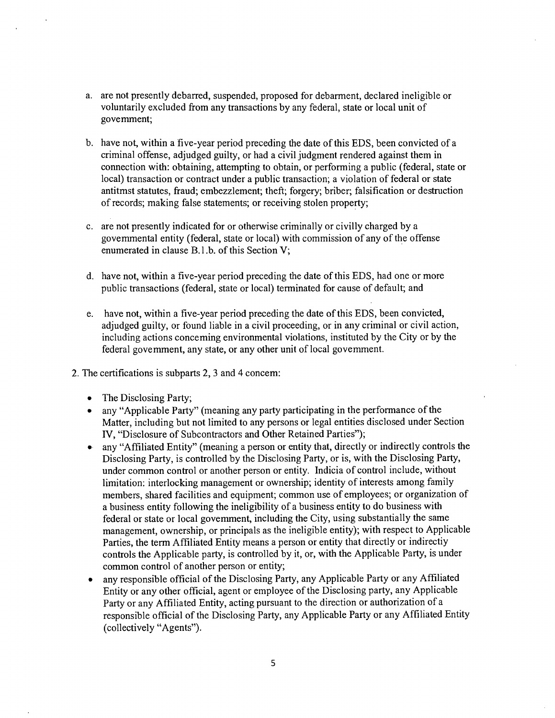- a. are not presently debarred, suspended, proposed for debarment, declared ineligible or voluntarily excluded from any transactions by any federal, state or local unit of govemment;
- b. have not, within a five-year period preceding the date of this EDS, been convicted of a criminal offense, adjudged guilty, or had a civil judgment rendered against them in connection with: obtaining, attempting to obtain, or performing a public (federal, state or local) transaction or contract under a public transaction; a violation of federal or state antitmst statutes, fraud; embezzlement; theft; forgery; briber; falsification or desfruction of records; making false statements; or receiving stolen property;
- c. are not presently indicated for or otherwise criminally or civilly charged by a govemmental entity (federal, state or local) with commission of any of the offense enumerated in clause B.l.b. of this Section V;
- d. have not, within a five-year period preceding the date of this EDS, had one or more public fransactions (federal, state or local) terminated for cause of default; and
- e. have not, within a five-year period preceding the date of this EDS, been convicted, adjudged guilty, or found liable in a civil proceeding, or in any criminal or civil action, including actions conceming environmental violations, instituted by the City or by the federal govemment, any state, or any other unit of local govemment.
- 2. The certifications is subparts 2, 3 and 4 concem:
	- The Disclosing Party;
	- any "Applicable Party" (meaning any party participating in the performance of the Matter, including but not limited to any persons or legal entities disclosed under Section IV, "Disclosure of Subcontractors and Other Retained Parties");
	- any "Affiliated Entity" (meaning a person or entity that, directly or indirectly controls the Disclosing Party, is controlled by the Disclosing Party, or is, with the Disclosing Party, under common control or another person or entity. Indicia of control include, without limitation: interlocking management or ownership; identity of interests among family members, shared facilities and equipment; common use of employees; or organization of a business entity following the ineligibility of a business entity to do business with federal or state or local govemment, including the City, using substantially the same management, ownership, or principals as the ineligible entity); with respect to Applicable Parties, the term Affiliated Entity means a person or entity that directly or indirectiy confrols the Applicable party, is controlled by it, or, with the Applicable Party, is under common control of another person or entity;
	- any responsible official of the Disclosing Party, any Applicable Party or any Affiliated Entity or any other official, agent or employee of the Disclosing party, any Applicable Party or any Affiliated Entity, acting pursuant to the direction or authorization of a responsible official of the Disclosing Party, any Applicable Party or any Affiliated Entity (collectively "Agents").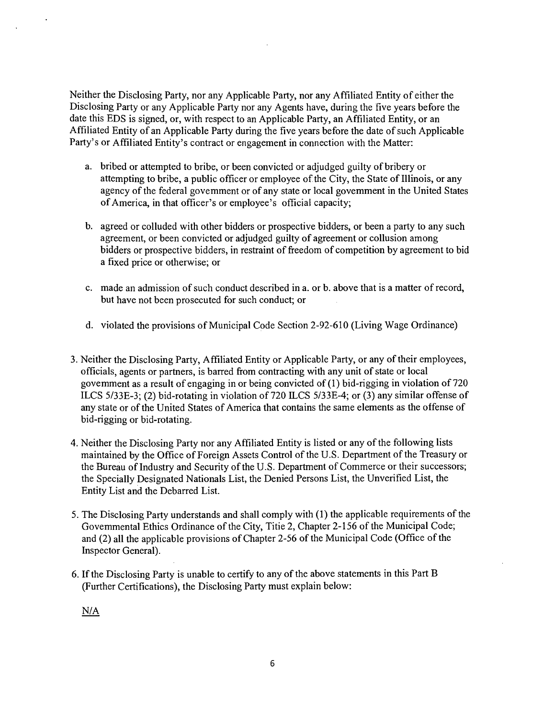Neither the Disclosing Party, nor any Applicable Party, nor any Affiliated Entity of either the Disclosing Party or any Applicable Party nor any Agents have, during the five years before the date this EDS is signed, or, with respect to an Applicable Party, an Affiliated Entity, or an Affiliated Entity of an Applicable Party during the five years before the date of such Applicable Party's or Affiliated Entity's contract or engagement in connection with the Matter:

- a. bribed or attempted to bribe, or been convicted or adjudged guilty of bribery or attempting to bribe, a public officer or employee of the City, the State of Illinois, or any agency of the federal govemment or of any state or local govemment in the United States of America, in that officer's or employee's official capacity;
- b. agreed or colluded with other bidders or prospective bidders, or been a party to any such agreement, or been convicted or adjudged guilty of agreement or collusion among bidders or prospective bidders, in resfraint of freedom of competition by agreement to bid a fixed price or otherwise; or
- c. made an admission of such conduct described in a. or b. above that is a matter of record, but have not been prosecuted for such conduct; or
- d. violated the provisions of Municipal Code Section 2-92-610 (Living Wage Ordinance)
- 3. Neither the Disclosing Party, Affiliated Entity or Applicable Party, or any of their employees, officials, agents or partners, is barred from confracting with any unit of state or local govemment as a result of engaging in or being convicted of (1) bid-rigging in violation of 720 ILCS 5/33E-3; (2) bid-rotating in violation of 720 ILCS 5/33E-4; or (3) any similar offense of any state or of the United States of America that contains the same elements as the offense of bid-rigging or bid-rotating.
- 4. Neither the Disclosing Party nor any Affiliated Entity is listed or any of the following lists maintained by the Office of Foreign Assets Confrol of the U.S. Department of the Treasury or the Bureau of Industry and Security of the U.S. Department of Commerce or their successors; the Specially Designated Nationals List, the Denied Persons List, the Unverified List, the Entity List and the Debarred List.
- 5. The Disclosing Party understands and shall comply with (1) the applicable requirements of the Govemmental Ethics Ordinance of the City, Titie 2, Chapter 2-156 of the Municipal Code; and (2) all the applicable provisions of Chapter 2-56 of the Municipal Code (Office of the Inspector General).
- 6. If the Disclosing Party is unable to certify to any of the above statements in this Part B (Further Certifications), the Disclosing Party must explain below:

N/A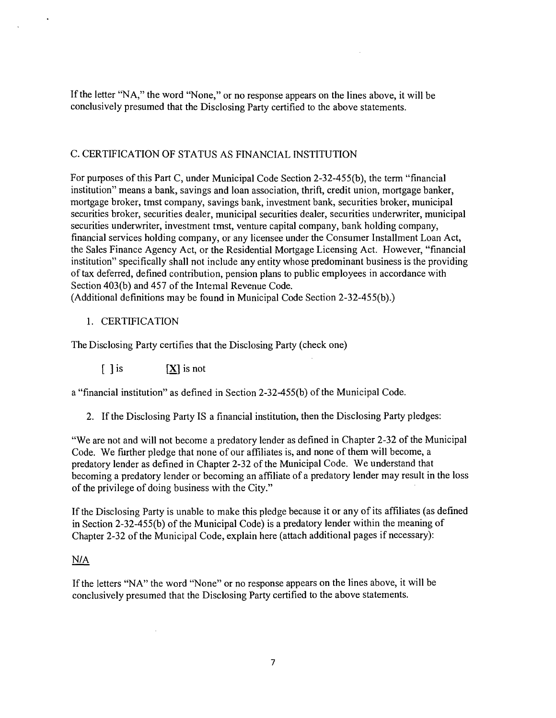If the letter "NA," the word "None," or no response appears on the lines above, it will be conclusively presumed that the Disclosing Party certified to the above statements.

#### C. CERTIFICATION OF STATUS AS FINANCIAL INSTITUTION

For purposes of this Part C, under Municipal Code Section 2-32-455(b), the term "financial institution" means a bank, savings and loan association, thrift, credit union, mortgage banker, mortgage broker, tmst company, savings bank, investment bank, securities broker, municipal securities broker, securities dealer, municipal securities dealer, securities underwriter, municipal securities underwriter, investment tmst, venture capital company, bank holding company, financial services holding company, or any licensee under the Consumer Installment Loan Act, the Sales Finance Agency Act, or the Residential Mortgage Licensing Act. However, "financial institution" specifically shall not include any entity whose predominant business is the providing of tax deferred, defined contribution, pension plans to public employees in accordance with Section 403(b) and 457 of the Intemal Revenue Code.

(Additional definitions may be found in Municipal Code Section 2-32-455(b).)

#### 1. CERTIFICATION

The Disclosing Party certifies that the Disclosing Party (check one)

 $[ \ ]$  is  $[ \mathbf{X} ]$  is not

a "financial institution" as defined in Section 2-32-455(b) of the Municipal Code.

2. If the Disclosing Party IS a financial institution, then the Disclosing Party pledges:

"We are not and will not become a predatory lender as defined in Chapter 2-32 of the Municipal Code. We further pledge that none of our affiliates is, and none of them will become, a predatory lender as defined in Chapter 2-32 of the Municipal Code. We understand that becoming a predatory lender or becoming an affiliate of a predatory lender may result in the loss of the privilege of doing business with the City."

If the Disclosing Party is unable to make this pledge because it or any of its affiliates (as defined in Section 2-32-45 5(b) of the Municipal Code) is a predatory lender within the meaning of Chapter 2-32 of the Municipal Code, explain here (attach additional pages if necessary):

#### N/A

If the letters "NA" the word "None" or no response appears on the lines above, it will be conclusively presumed that the Disclosing Party certified to the above statements.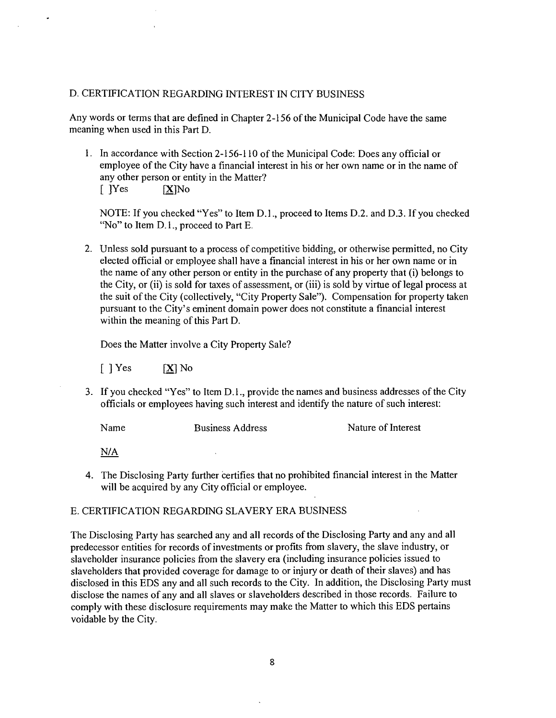#### D. CERTIFICATION REGARDING INTEREST IN CITY BUSINESS

Any words or terms that are defined in Chapter 2-156 ofthe Municipal Code have the same meaning when used in this Part D.

1. In accordance with Section 2-156-110 of the Municipal Code: Does any official or employee ofthe City have a financial interest in his or her own name or in the name of any other person or entity in the Matter? [ JYes [X]No

NOTE: If you checked "Yes" to Item D.L, proceed to Items D.2. and D.3. If you checked "No" to Item D.1., proceed to Part E.

2. Unless sold pursuant to a process of competitive bidding, or otherwise permitted, no City elected official or employee shall have a financial interest in his or her own name or in the name of any other person or entity in the purchase of any property that (i) belongs to the City, or (ii) is sold for taxes of assessment, or (iii) is sold by virtue of legal process at the suit of the City (collectively, "City Property Sale"). Compensation for property taken pursuant to the City's eminent domain power does not constitute a financial interest within the meaning of this Part D.

Does the Matter involve a City Property Sale?

 $\begin{bmatrix} \end{bmatrix}$  Yes  $[X]$  No

3. If you checked "Yes" to Item D. 1., provide the names and business addresses of the City officials or employees having such interest and identify the nature of such interest:

Name Business Address Nature of Interest

N/A

4. The Disclosing Party further certifies that no prohibited financial interest in the Matter will be acquired by any City official or employee.

#### E. CERTIFICATION REGARDING SLAVERY ERA BUSINESS

The Disclosing Party has searched any and all records of the Disclosing Party and any and all predecessor entities for records of investments or profits from slavery, the slave industry, or slaveholder insurance policies from the slavery era (including insurance policies issued to slaveholders that provided coverage for damage to or injury or death of their slaves) and has disclosed in this EDS any and all such records to the City. In addition, the Disclosing Party must disclose the names of any and all slaves or slaveholders described in those records. Failure to comply with these disclosure requirements may make the Matter to which this EDS pertains voidable by the City.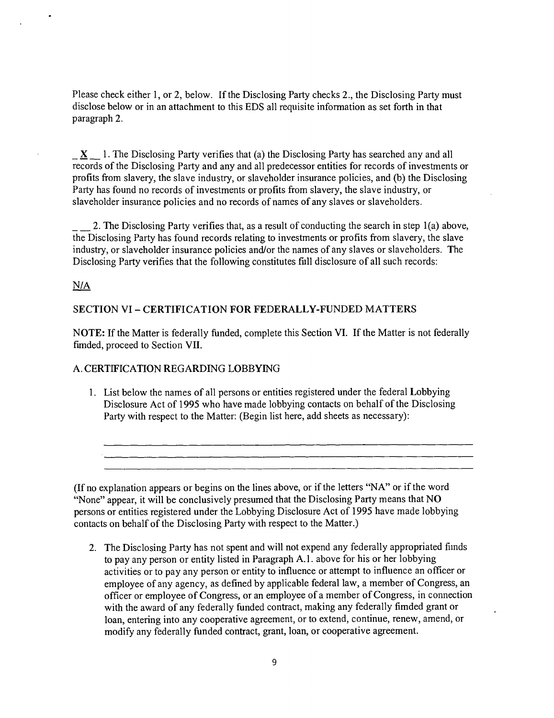Please check either 1, or 2, below. If the Disclosing Party checks 2., the Disclosing Party must disclose below or in an attachment to this EDS all requisite information as set forth in that paragraph 2.

 $\underline{X}$  1. The Disclosing Party verifies that (a) the Disclosing Party has searched any and all records of the Disclosing Party and any and all predecessor entities for records of investments or profits from slavery, the slave industry, or slaveholder insurance policies, and (b) the Disclosing Party has found no records of investments or profits from slavery, the slave industry, or slaveholder insurance policies and no records of names of any slaves or slaveholders.

2. The Disclosing Party verifies that, as a result of conducting the search in step 1(a) above, the Disclosing Party has found records relating to investments or profits from slavery, the slave industry, or slaveholder insurance policies and/or the names of any slaves or slaveholders. The Disclosing Party verifies that the following constitutes fiill disclosure of all such records:

**N/A** 

#### **SECTION VI - CERTIFICATION FOR FEDERALLY-FUNDED MATTERS**

NOTE: If the Matter is federally funded, complete this Section VI. If the Matter is not federally fimded, proceed to Section VII.

#### A. CERTIFICATION REGARDING LOBBYING

1. List below the names of all persons or entities registered under the federal Lobbying Disclosure Act of 1995 who have made lobbying contacts on behalf of the Disclosing Party with respect to the Matter: (Begin list here, add sheets as necessary):

(If no explanation appears or begins on the lines above, or if the letters "NA" or if the word "None" appear, it will be conclusively presumed that the Disclosing Party means that  $NO$ persons or entities registered under the Lobbying Disclosure Act of 1995 have made lobbying contacts on behalf of the Disclosing Party with respect to the Matter.)

2. The Disclosing Party has not spent and will not expend any federally appropriated fiinds to pay any person or entity listed in Paragraph A.l . above for his or her lobbying activities or to pay any person or entity to influence or attempt to influence an officer or employee of any agency, as defined by applicable federal law, a member of Congress, an officer or employee of Congress, or an employee of a member of Congress, in connection with the award of any federally funded confract, making any federally fimded grant or loan, entering into any cooperative agreement, or to extend, continue, renew, amend, or modify any federally funded confract, grant, loan, or cooperative agreement.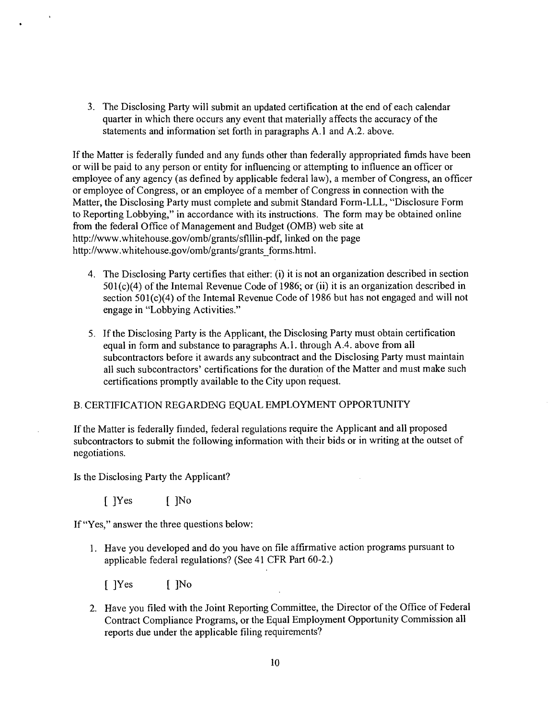3. The Disclosing Party will submit an updated certification at the end of each calendar quarter in which there occurs any event that materially affects the accuracy of the statements and information set forth in paragraphs A. l and A.2. above.

If the Matter is federally funded and any funds other than federally appropriated fimds have been or will be paid to any person or entity for influencing or attempting to influence an officer or employee of any agency (as defined by applicable federal law), a member of Congress, an officer or employee of Congress, or an employee of a member of Congress in connection with the Matter, the Disclosing Party must complete and submit Standard Form-LLL, "Disclosure Form to Reporting Lobbying," in accordance with its instructions. The form may be obtained online from the federal Office of Management and Budget (0MB) web site at http://www.whitehouse.gov/omb/grants/sflllin-pdf, linked on the page http://www.whitehouse.gov/omb/grants/grants\_forms.html.

- 4. The Disclosing Party certifies that either: (i) it is not an organization described in section 501(c)(4) of the Intemal Revenue Code of 1986; or (ii) it is an organization described in section  $501(c)(4)$  of the Intemal Revenue Code of 1986 but has not engaged and will not engage in "Lobbying Activities."
- 5. If the Disclosing Party is the Applicant, the Disclosing Party must obtain certification equal in form and substance to paragraphs A.l . through A.4. above from all subconfractors before it awards any subconfract and the Disclosing Party must maintain all such subcontractors' certifications for the duration of the Matter and must make such certifications promptly available to the City upon request.

#### B. CERTIFICATION REGARDENG EQUAL EMPLOYMENT OPPORTUNITY

If the Matter is federally fiinded, federal regulations require the Applicant and all proposed subcontractors to submit the following information with their bids or in writing at the outset of negotiations.

Is the Disclosing Party the Applicant?

 $[$  ]Yes  $[$  ]No

If "Yes," answer the three questions below:

1. Have you developed and do you have on file affirmative action programs pursuant to applicable federal regulations? (See 41 CFR Part 60-2.)

 $[$  ]Yes  $[$  ]No

2. Have you filed with the Joint Reporting Committee, the Director of the Office of Federal Confract Compliance Programs, or the Equal Employment Opportunity Commission all reports due under the applicable filing requirements?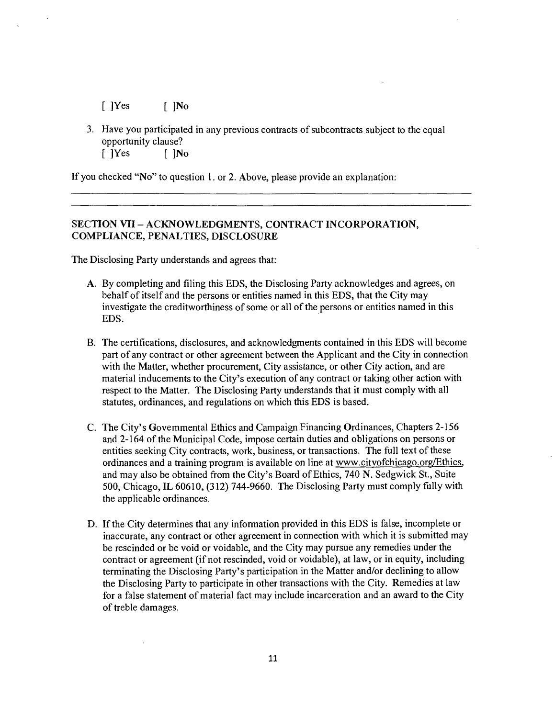$[$   $]$ Yes  $[$   $]$ No

3. Have you participated in any previous contracts of subconfracts subject to the equal opportunity clause? [ ]Yes [ ]No

If you checked "No" to question 1. or 2. Above, please provide an explanation:

#### **SECTION VII - ACKNOWLEDGMENTS, CONTRACT INCORPORATION, COMPLL\NCE, PENALTIES, DISCLOSURE**

The Disclosing Party understands and agrees that:

- A. By completing and filing this EDS, the Disclosing Party acknowledges and agrees, on behalf of itself and the persons or entities named in this EDS, that the City may investigate the creditworthiness of some or all of the persons or entities named in this EDS.
- B. The certifications, disclosures, and acknowledgments contained in this EDS will become part of any contract or other agreement between the Applicant and the City in connection with the Matter, whether procurement. City assistance, or other City action, and are material inducements to the City's execution of any contract or taking other action with respect to the Matter. The Disclosing Party understands that it must comply with all statutes, ordinances, and regulations on which this EDS is based.
- C. The City's Govemmental Ethics and Campaign Financing Ordinances, Chapters 2-156 and 2-164 of the Municipal Code, impose certain duties and obligations on persons or entities seeking City confracts, work, business, or fransactions. The full text of these ordinances and a fraining program is available on line at www.citvofchicago.org/Ethics. and may also be obtained from the City's Board of Ethics, 740 N . Sedgwick St., Suite 500, Chicago, IL 60610, (312) 744-9660. The Disclosing Party must comply fiilly with the applicable ordinances.
- D. If the City determines that any information provided in this EDS is false, incomplete or inaccurate, any confract or other agreement in connection with which it is submitted may be rescinded or be void or voidable, and the City may pursue any remedies under the contract or agreement (if not rescinded, void or voidable), at law, or in equity, including terminating the Disclosing Party's participation in the Matter and/or declining to allow the Disclosing Party to participate in other fransactions with the City. Remedies at law for a false statement of material fact may include incarceration and an award to the City of freble damages.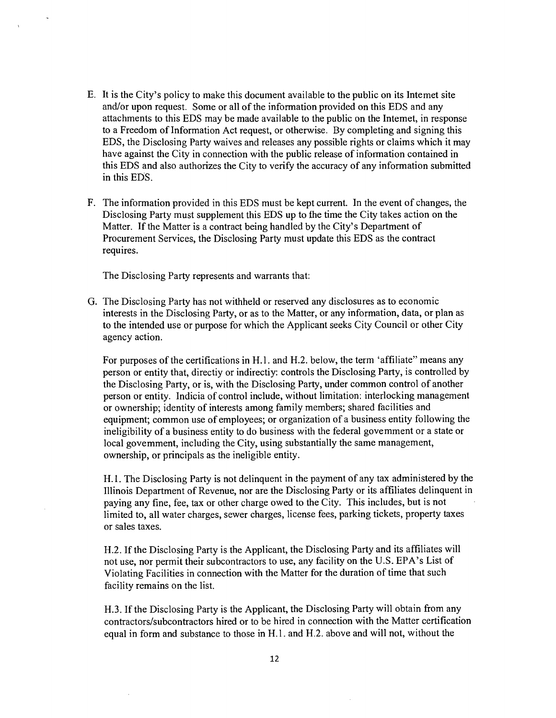- E. It is the City's policy to make this document available to the public on its Intemet site and/or upon request. Some or all of the information provided on this EDS and any attachments to this EDS may be made available to the public on the Intemet, in response to a Freedom of Information Act request, or otherwise. By completing and signing this EDS, the Disclosing Party waives and releases any possible rights or claims which it may have against the City in connection with the public release of information contained in this EDS and also authorizes the City to verify the accuracy of any information submitted in this EDS.
- F. The information provided in this EDS must be kept current. In the event of changes, the Disclosing Party must supplement this EDS up to fhe time the City takes action on the Matter. If the Matter is a contract being handled by the City's Department of Procurement Services, the Disclosing Party must update this EDS as the confract requires.

The Disclosing Party represents and warrants that:

G. The Disclosing Party has not withheld or reserved any disclosures as to economic interests in the Disclosing Party, or as to the Matter, or any information, data, or plan as to the intended use or purpose for which the Applicant seeks City Council or other City agency action.

For purposes of the certifications in H.l. and H.2. below, the term 'affiliate" means any person or entity that, directiy or indirectiy: confrols the Disclosing Party, is confrolled by the Disclosing Party, or is, with the Disclosing Party, under common confrol of another person or entity. Indicia of confrol include, without limitation: interlocking management or ownership; identity of interests among family members; shared facilities and equipment; common use of employees; or organization of a business entity following the ineligibility of a business entity to do business with the federal govemment or a state or local govemment, including the City, using substantially the same management, ownership, or principals as the ineligible entity.

H. 1. The Disclosing Party is not delinquent in the payment of any tax administered by the Illinois Department of Revenue, nor are the Disclosing Party or its affiliates delinquent in paying any fine, fee, tax or other charge owed to the City. This includes, but is not limited to, all water charges, sewer charges, license fees, parking tickets, property taxes or sales taxes.

H.2. If the Disclosing Party is the Applicant, the Disclosing Party and its affiliates will not use, nor permit their subcontractors to use, any facility on the U.S. EPA's List of Violating Facilities in connection with the Matter for the duration of time that such facility remains on the list.

H.3. If the Disclosing Party is the Applicant, the Disclosing Party will obtain from any confractors/subconfractors hired or to be hired in connection with the Matter certification equal in form and substance to those in H.l. and H.2. above and will not, without the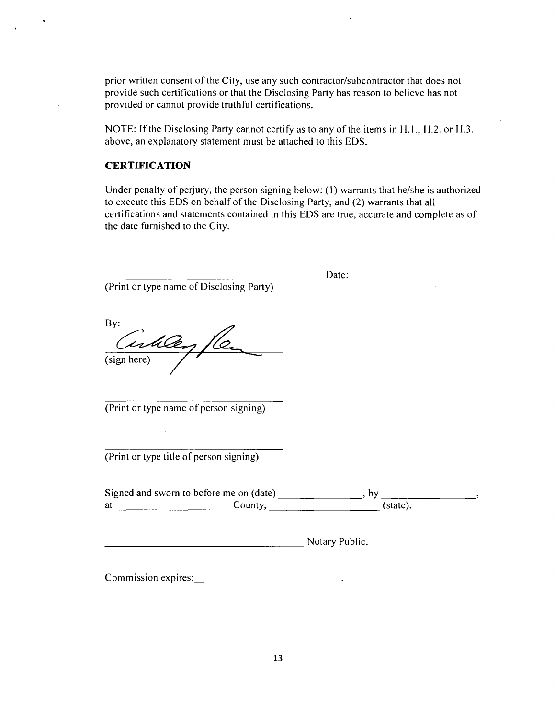prior written consent of the City, use any such contractor/subcontractor that does not provide such certifications or that the Disclosing Party has reason to believe has not provided or cannot provide truthful certifications.

NOTE: If the Disclosing Party cannot certify as to any of the items in H.1., H.2. or H.3. above, an explanatory statement must be attached to this EDS.

#### **CERTIFICATION**

Under penalty of perjury, the person signing below: (1) warrants that he/she is authorized to execute this EDS on behalf of the Disclosing Party, and (2) warrants that all certifications and statements contained in this EDS are true, accurate and complete as of the date fumished to the City.

(Print or type name of Disclosing Party)

Date:  $\frac{1}{\sqrt{1-\frac{1}{2}} \cdot \frac{1}{\sqrt{1-\frac{1}{2}} \cdot \frac{1}{\sqrt{1-\frac{1}{2}} \cdot \frac{1}{\sqrt{1-\frac{1}{2}} \cdot \frac{1}{\sqrt{1-\frac{1}{2}} \cdot \frac{1}{\sqrt{1-\frac{1}{2}} \cdot \frac{1}{\sqrt{1-\frac{1}{2}} \cdot \frac{1}{\sqrt{1-\frac{1}{2}} \cdot \frac{1}{\sqrt{1-\frac{1}{2}} \cdot \frac{1}{\sqrt{1-\frac{1}{2}} \cdot \frac{1}{\sqrt{1-\frac{1}{2}} \cdot \frac{1}{\sqrt{1-\frac{1}{2}}$ 

By: Girley /le

(Print or type name of person signing)

(Print or type title of person signing)

Signed and sworn to before me on  $(data)$ , by  $at$ ,  $(state)$ ,  $(state)$ ,  $(state)$ 

Notary Public.

Commission expires:  $\frac{1}{2}$   $\frac{1}{2}$   $\frac{1}{2}$   $\frac{1}{2}$   $\frac{1}{2}$   $\frac{1}{2}$   $\frac{1}{2}$   $\frac{1}{2}$   $\frac{1}{2}$   $\frac{1}{2}$   $\frac{1}{2}$   $\frac{1}{2}$   $\frac{1}{2}$   $\frac{1}{2}$   $\frac{1}{2}$   $\frac{1}{2}$   $\frac{1}{2}$   $\frac{1}{2}$   $\frac{1}{2}$   $\frac{1}{2}$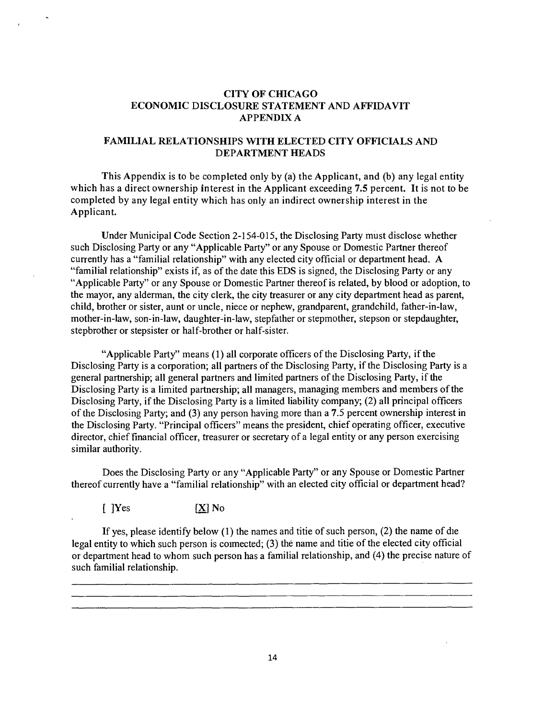#### **CITY OF CHICAGO ECONOMIC DISCLOSURE STATEMENT AND AFFIDAVIT APPENDLX A**

#### **FAMILIAL RELATIONSHIPS WITH ELECTED CITY OFFICIALS AND DEPARTMENT HEADS**

**This Appendix is to be completed only by (a) the Applicant, and (b) any legal entity which has a direct ownership interest in the Applicant exceeding 7.5 percent. It is not to be completed by any legal entity which has only an indirect ownership interest in the Applicant.** 

Under Municipal Code Section 2-154-015, the Disclosing Party must disclose whether such Disclosing Party or any "Applicable Party" or any Spouse or Domestic Partner thereof currently has a "familial relationship" with any elected city official or department head. A "familial relationship" exists if, as of the date this EDS is signed, the Disclosing Party or any "Applicable Party" or any Spouse or Domestic Partner thereof is related, by blood or adoption, to the mayor, any alderman, the city clerk, the city freasurer or any city department head as parent, child, brother or sister, aunt or uncle, niece or nephew, grandparent, grandchild, father-in-law, mother-in-law, son-in-law, daughter-in-law, stepfather or stepmother, stepson or stepdaughter, stepbrother or stepsister or half-brother or half-sister.

"Applicable Party" means (1) all corporate officers of the Disclosing Party, if the Disclosing Party is a corporation; all partners of the Disclosing Party, if the Disclosing Party is a general partnership; all general partners and limited partners of the Disclosing Party, if the Disclosing Party is a limited partnership; all managers, managing members and members of the Disclosing Party, if the Disclosing Party is a limited liability company; (2) all principal officers of the Disclosing Party; and (3) any person having more than a 7.5 percent ownership interest in the Disclosing Party. "Principal officers" means the president, chief operating officer, executive director, chief financial officer, freasurer or secretary of a legal entity or any person exercising similar authority.

Does the Disclosing Party or any "Applicable Party" or any Spouse or Domestic Partner thereof currently have a "familial relationship" with an elected city official or department head?

 $[$   $]$   $]$   $\text{Yes}$   $[$   $\text{X}]$   $\text{No}$ 

If yes, please identify below (1) the names and titie of such person, (2) the name of die legal entity to which such person is coimected;  $(3)$  the name and titie of the elected city official or department head to whom such person has a familial relationship, and (4) the precise nature of such familial relationship.